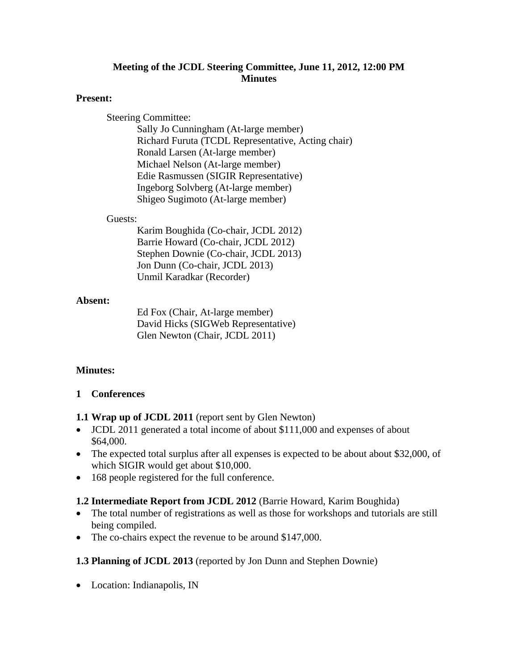## **Meeting of the JCDL Steering Committee, June 11, 2012, 12:00 PM Minutes**

### **Present:**

Steering Committee:

Sally Jo Cunningham (At-large member) Richard Furuta (TCDL Representative, Acting chair) Ronald Larsen (At-large member) Michael Nelson (At-large member) Edie Rasmussen (SIGIR Representative) Ingeborg Solvberg (At-large member) Shigeo Sugimoto (At-large member)

#### Guests:

Karim Boughida (Co-chair, JCDL 2012) Barrie Howard (Co-chair, JCDL 2012) Stephen Downie (Co-chair, JCDL 2013) Jon Dunn (Co-chair, JCDL 2013) Unmil Karadkar (Recorder)

### **Absent:**

Ed Fox (Chair, At-large member) David Hicks (SIGWeb Representative) Glen Newton (Chair, JCDL 2011)

## **Minutes:**

### **1 Conferences**

- **1.1 Wrap up of JCDL 2011** (report sent by Glen Newton)
- JCDL 2011 generated a total income of about \$111,000 and expenses of about \$64,000.
- The expected total surplus after all expenses is expected to be about about \$32,000, of which SIGIR would get about \$10,000.
- 168 people registered for the full conference.

### **1.2 Intermediate Report from JCDL 2012** (Barrie Howard, Karim Boughida)

- The total number of registrations as well as those for workshops and tutorials are still being compiled.
- The co-chairs expect the revenue to be around \$147,000.

## **1.3 Planning of JCDL 2013** (reported by Jon Dunn and Stephen Downie)

• Location: Indianapolis, IN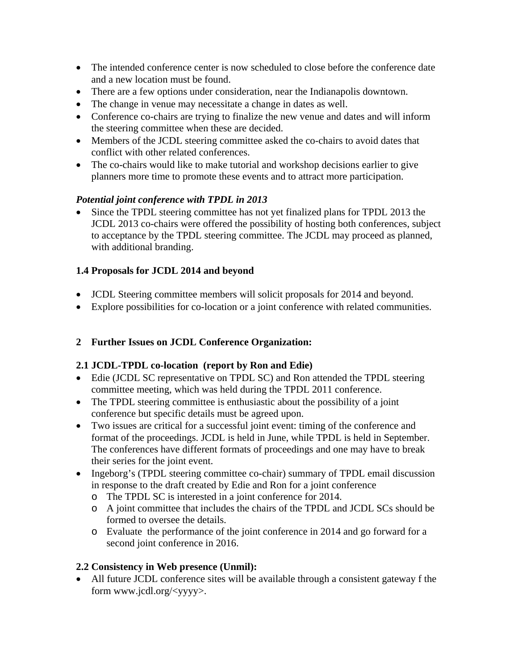- The intended conference center is now scheduled to close before the conference date and a new location must be found.
- There are a few options under consideration, near the Indianapolis downtown.
- The change in venue may necessitate a change in dates as well.
- Conference co-chairs are trying to finalize the new venue and dates and will inform the steering committee when these are decided.
- Members of the JCDL steering committee asked the co-chairs to avoid dates that conflict with other related conferences.
- The co-chairs would like to make tutorial and workshop decisions earlier to give planners more time to promote these events and to attract more participation.

## *Potential joint conference with TPDL in 2013*

 Since the TPDL steering committee has not yet finalized plans for TPDL 2013 the JCDL 2013 co-chairs were offered the possibility of hosting both conferences, subject to acceptance by the TPDL steering committee. The JCDL may proceed as planned, with additional branding.

## **1.4 Proposals for JCDL 2014 and beyond**

- JCDL Steering committee members will solicit proposals for 2014 and beyond.
- Explore possibilities for co-location or a joint conference with related communities.

# **2 Further Issues on JCDL Conference Organization:**

# **2.1 JCDL-TPDL co-location (report by Ron and Edie)**

- Edie (JCDL SC representative on TPDL SC) and Ron attended the TPDL steering committee meeting, which was held during the TPDL 2011 conference.
- The TPDL steering committee is enthusiastic about the possibility of a joint conference but specific details must be agreed upon.
- Two issues are critical for a successful joint event: timing of the conference and format of the proceedings. JCDL is held in June, while TPDL is held in September. The conferences have different formats of proceedings and one may have to break their series for the joint event.
- Ingeborg's (TPDL steering committee co-chair) summary of TPDL email discussion in response to the draft created by Edie and Ron for a joint conference
	- o The TPDL SC is interested in a joint conference for 2014.
	- o A joint committee that includes the chairs of the TPDL and JCDL SCs should be formed to oversee the details.
	- o Evaluate the performance of the joint conference in 2014 and go forward for a second joint conference in 2016.

# **2.2 Consistency in Web presence (Unmil):**

 All future JCDL conference sites will be available through a consistent gateway f the form www.jcdl.org/<yyyy>.